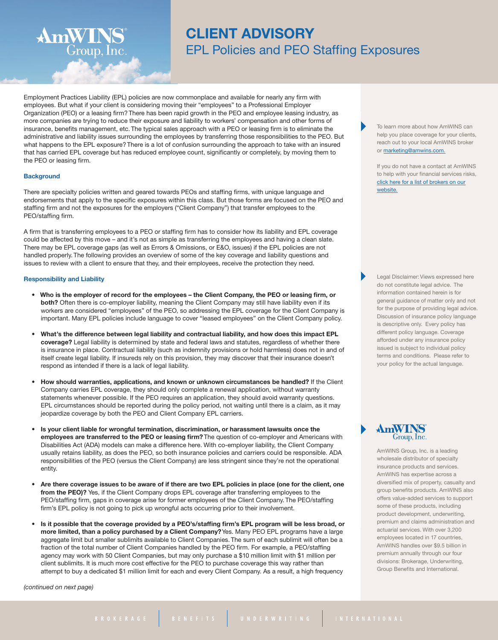# **CLIENT ADVISORY** EPL Policies and PEO Staffing Exposures

Employment Practices Liability (EPL) policies are now commonplace and available for nearly any firm with employees. But what if your client is considering moving their "employees" to a Professional Employer Organization (PEO) or a leasing firm? There has been rapid growth in the PEO and employee leasing industry, as more companies are trying to reduce their exposure and liability to workers' compensation and other forms of insurance, benefits management, etc. The typical sales approach with a PEO or leasing firm is to eliminate the administrative and liability issues surrounding the employees by transferring those responsibilities to the PEO. But what happens to the EPL exposure? There is a lot of confusion surrounding the approach to take with an insured that has carried EPL coverage but has reduced employee count, significantly or completely, by moving them to the PEO or leasing firm.

## **Background**

There are specialty policies written and geared towards PEOs and staffing firms, with unique language and endorsements that apply to the specific exposures within this class. But those forms are focused on the PEO and staffing firm and not the exposures for the employers ("Client Company") that transfer employees to the PEO/staffing firm.

A firm that is transferring employees to a PEO or staffing firm has to consider how its liability and EPL coverage could be affected by this move – and it's not as simple as transferring the employees and having a clean slate. There may be EPL coverage gaps (as well as Errors & Omissions, or E&O, issues) if the EPL policies are not handled properly. The following provides an overview of some of the key coverage and liability questions and issues to review with a client to ensure that they, and their employees, receive the protection they need.

## **Responsibility and Liability**

**AmWINS**<sup>®</sup><br>Group, Inc.

- . Who is the employer of record for the employees the Client Company, the PEO or leasing firm, or **both?** Often there is co-employer liability, meaning the Client Company may still have liability even if its workers are considered "employees" of the PEO, so addressing the EPL coverage for the Client Company is important. Many EPL policies include language to cover "leased employees" on the Client Company policy.
- **What's the difference between legal liability and contractual liability, and how does this impact EPL coverage?** Legal liability is determined by state and federal laws and statutes, regardless of whether there is insurance in place. Contractual liability (such as indemnity provisions or hold harmless) does not in and of itself create legal liability. If insureds rely on this provision, they may discover that their insurance doesn't respond as intended if there is a lack of legal liability.
- **How should warranties, applications, and known or unknown circumstances be handled?** If the Client Company carries EPL coverage, they should only complete a renewal application, without warranty statements whenever possible. If the PEO requires an application, they should avoid warranty questions. EPL circumstances should be reported during the policy period, not waiting until there is a claim, as it may jeopardize coverage by both the PEO and Client Company EPL carriers.
- **Is your client liable for wrongful termination, discrimination, or harassment lawsuits once the employees are transferred to the PEO or leasing firm?** The question of co-employer and Americans with Disabilities Act (ADA) models can make a difference here. With co-employer liability, the Client Company usually retains liability, as does the PEO, so both insurance policies and carriers could be responsible. ADA responsibilities of the PEO (versus the Client Company) are less stringent since they're not the operational entity.
- Are there coverage issues to be aware of if there are two EPL policies in place (one for the client, one **from the PEO)?** Yes, if the Client Company drops EPL coverage after transferring employees to the PEO/staffing firm, gaps in coverage arise for former employees of the Client Company. The PEO/staffing firm's EPL policy is not going to pick up wrongful acts occurring prior to their involvement.
- Is it possible that the coverage provided by a PEO's/staffing firm's EPL program will be less broad, or **more limited, than a policy purchased by a Client Company?**Yes. Many PEO EPL programs have a large aggregate limit but smaller sublimits available to Client Companies. The sum of each sublimit will often be a fraction of the total number of Client Companies handled by the PEO firm. For example, a PEO/staffing agency may work with 50 Client Companies, but may only purchase a \$10 million limit with \$1 million per client sublimits. It is much more cost effective for the PEO to purchase coverage this way rather than attempt to buy a dedicated \$1 million limit for each and every Client Company. As a result, a high frequency

*(continued on next page)*

To learn more about how AmWINS can help you place coverage for your clients, reach out to your local AmWINS broker or [marketing@amwins.com.](mailto:marketing@amwins.com)

If you do not have a contact at AmWINS to help with your financial services risks, click here for a list of [brokers](http://amwins.com/SearchCenter/Pages/ContactSearch.aspx?k=Product:%22Financial%20Services%22) on our [website.](http://amwins.com/SearchCenter/Pages/ContactSearch.aspx?k=Product:%22Financial%20Services%22)

Legal Disclaimer: Views expressed here do not constitute legal advice. The information contained herein is for general guidance of matter only and not for the purpose of providing legal advice. Discussion of insurance policy language is descriptive only. Every policy has different policy language. Coverage afforded under any insurance policy issued is subject to individual policy terms and conditions. Please refer to your policy for the actual language.

Group, Inc.

AmWINS Group, Inc. is a leading wholesale distributor of specialty insurance products and services. AmWINS has expertise across a diversified mix of property, casualty and group benefits products. AmWINS also offers value-added services to support some of these products, including product development, underwriting, premium and claims administration and actuarial services. With over 3,200 employees located in 17 countries, AmWINS handles over \$9.5 billion in premium annually through our four divisions: Brokerage, Underwriting, Group Benefits and International.